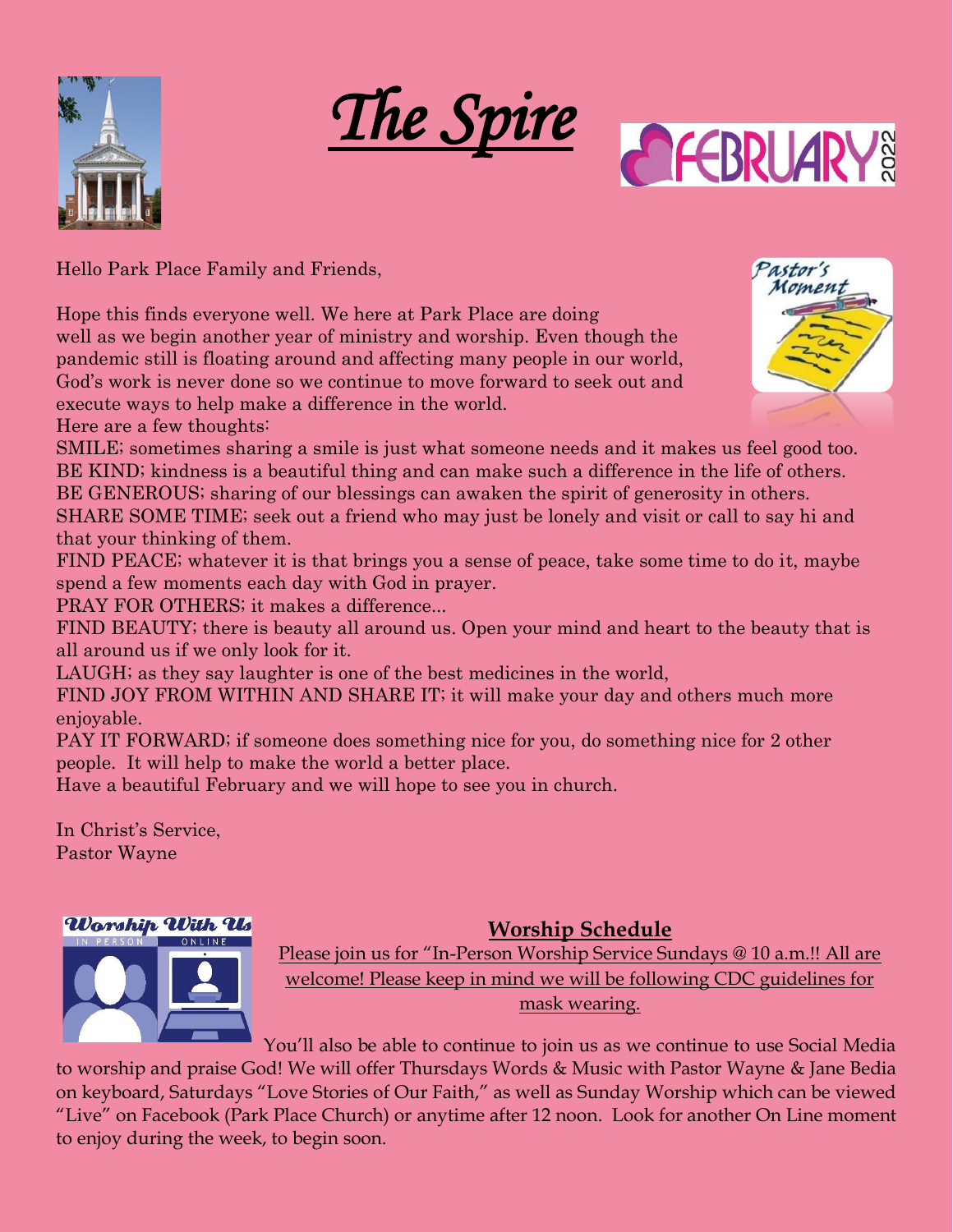





Hello Park Place Family and Friends,

Hope this finds everyone well. We here at Park Place are doing well as we begin another year of ministry and worship. Even though the pandemic still is floating around and affecting many people in our world, God's work is never done so we continue to move forward to seek out and execute ways to help make a difference in the world.

Here are a few thoughts:

SMILE; sometimes sharing a smile is just what someone needs and it makes us feel good too. BE KIND; kindness is a beautiful thing and can make such a difference in the life of others.

BE GENEROUS; sharing of our blessings can awaken the spirit of generosity in others.

SHARE SOME TIME; seek out a friend who may just be lonely and visit or call to say hi and that your thinking of them.

FIND PEACE; whatever it is that brings you a sense of peace, take some time to do it, maybe spend a few moments each day with God in prayer.

PRAY FOR OTHERS; it makes a difference...

FIND BEAUTY; there is beauty all around us. Open your mind and heart to the beauty that is all around us if we only look for it.

LAUGH; as they say laughter is one of the best medicines in the world,

FIND JOY FROM WITHIN AND SHARE IT; it will make your day and others much more enjoyable.

PAY IT FORWARD; if someone does something nice for you, do something nice for 2 other people. It will help to make the world a better place.

Have a beautiful February and we will hope to see you in church.

In Christ's Service, Pastor Wayne

## Worship With Us

#### **Worship Schedule**



Please join us for "In-Person Worship Service Sundays @ 10 a.m.!! All are welcome! Please keep in mind we will be following CDC guidelines for mask wearing.

You'll also be able to continue to join us as we continue to use Social Media to worship and praise God! We will offer Thursdays Words & Music with Pastor Wayne & Jane Bedia on keyboard, Saturdays "Love Stories of Our Faith," as well as Sunday Worship which can be viewed "Live" on Facebook (Park Place Church) or anytime after 12 noon. Look for another On Line moment to enjoy during the week, to begin soon.

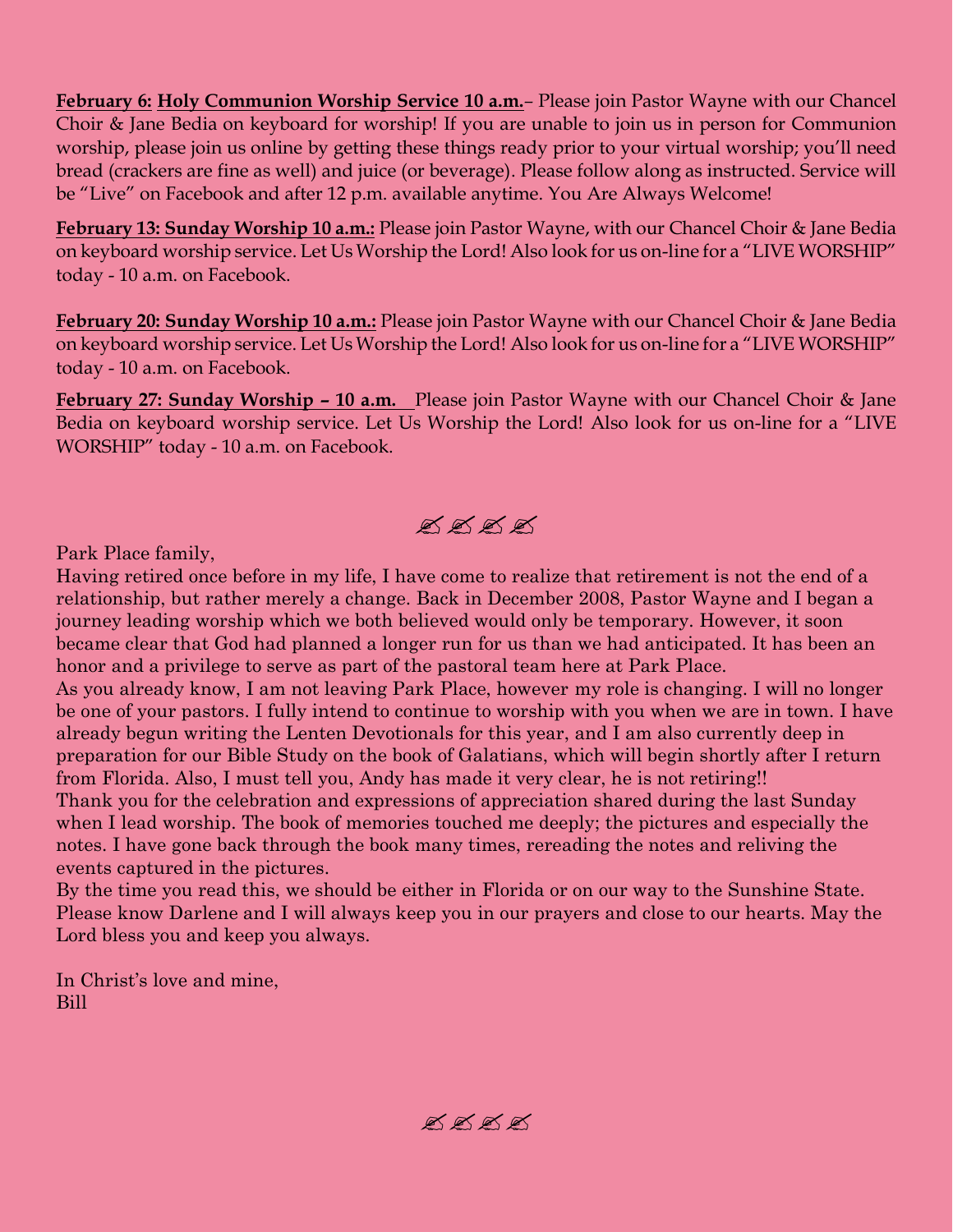**February 6: Holy Communion Worship Service 10 a.m.***–* Please join Pastor Wayne with our Chancel Choir & Jane Bedia on keyboard for worship! If you are unable to join us in person for Communion worship, please join us online by getting these things ready prior to your virtual worship; you'll need bread (crackers are fine as well) and juice (or beverage). Please follow along as instructed. Service will be "Live" on Facebook and after 12 p.m. available anytime. You Are Always Welcome!

**February 13: Sunday Worship 10 a.m.:** Please join Pastor Wayne, with our Chancel Choir & Jane Bedia on keyboard worship service. Let Us Worship the Lord! Also look for us on-line for a "LIVE WORSHIP" today - 10 a.m. on Facebook.

**February 20: Sunday Worship 10 a.m.:** Please join Pastor Wayne with our Chancel Choir & Jane Bedia on keyboard worship service. Let Us Worship the Lord! Also look for us on-line for a "LIVE WORSHIP" today - 10 a.m. on Facebook.

**February 27: Sunday Worship – 10 a.m.** Please join Pastor Wayne with our Chancel Choir & Jane Bedia on keyboard worship service. Let Us Worship the Lord! Also look for us on-line for a "LIVE WORSHIP" today - 10 a.m. on Facebook.

 $\mathbb{X} \mathbb{X} \mathbb{X} \mathbb{X}$ 

Park Place family,

Having retired once before in my life, I have come to realize that retirement is not the end of a relationship, but rather merely a change. Back in December 2008, Pastor Wayne and I began a journey leading worship which we both believed would only be temporary. However, it soon became clear that God had planned a longer run for us than we had anticipated. It has been an honor and a privilege to serve as part of the pastoral team here at Park Place.

As you already know, I am not leaving Park Place, however my role is changing. I will no longer be one of your pastors. I fully intend to continue to worship with you when we are in town. I have already begun writing the Lenten Devotionals for this year, and I am also currently deep in preparation for our Bible Study on the book of Galatians, which will begin shortly after I return from Florida. Also, I must tell you, Andy has made it very clear, he is not retiring!! Thank you for the celebration and expressions of appreciation shared during the last Sunday when I lead worship. The book of memories touched me deeply; the pictures and especially the notes. I have gone back through the book many times, rereading the notes and reliving the events captured in the pictures.

By the time you read this, we should be either in Florida or on our way to the Sunshine State. Please know Darlene and I will always keep you in our prayers and close to our hearts. May the Lord bless you and keep you always.

In Christ's love and mine, Bill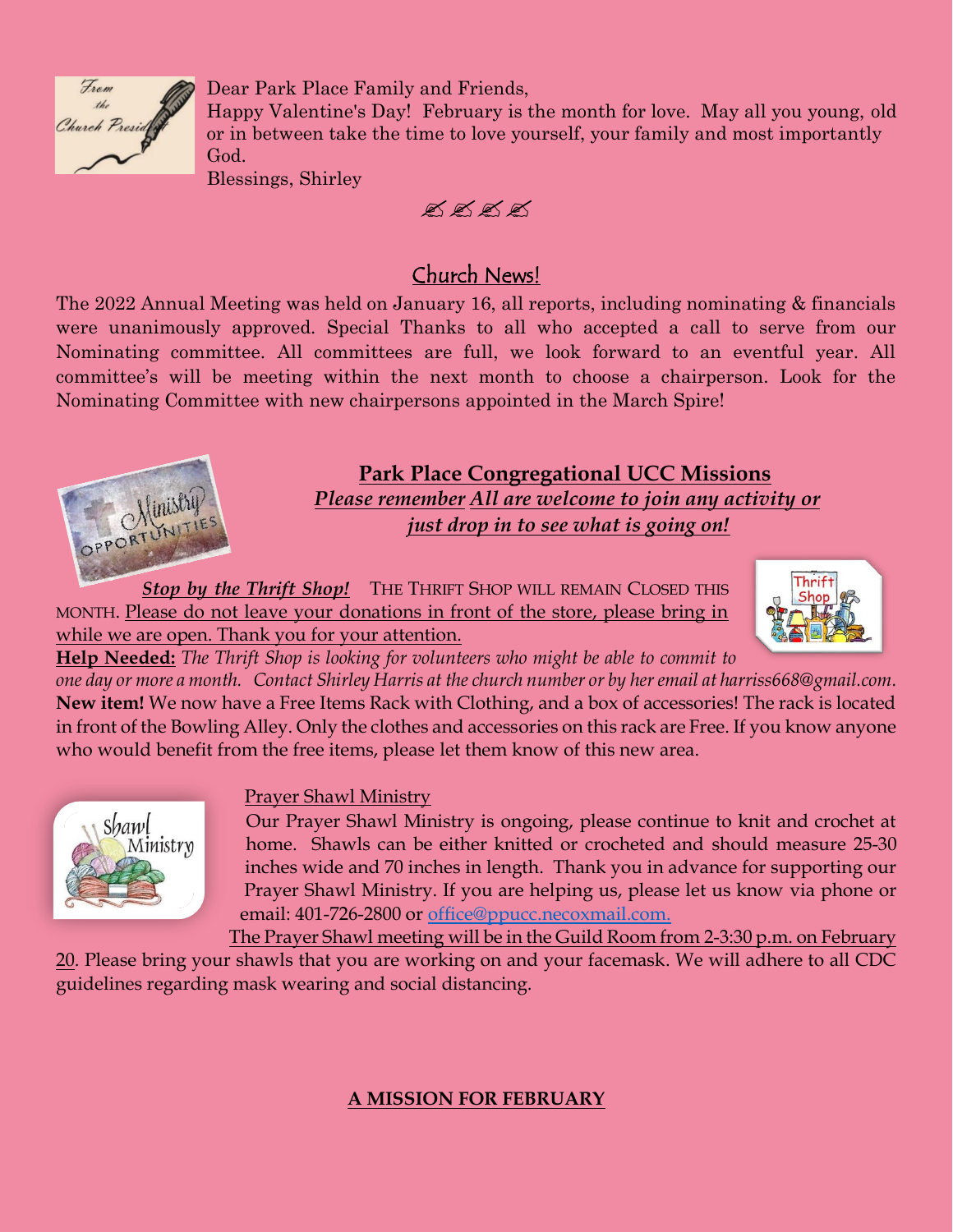

Dear Park Place Family and Friends,

Happy Valentine's Day! February is the month for love. May all you young, old or in between take the time to love yourself, your family and most importantly God.

Blessings, Shirley

 $\cancel{\mathscr{A}} \cancel{\mathscr{A}} \cancel{\mathscr{A}} \cancel{\mathscr{A}}$ 

## Church News!

The 2022 Annual Meeting was held on January 16, all reports, including nominating & financials were unanimously approved. Special Thanks to all who accepted a call to serve from our Nominating committee. All committees are full, we look forward to an eventful year. All committee's will be meeting within the next month to choose a chairperson. Look for the Nominating Committee with new chairpersons appointed in the March Spire!



#### **Park Place Congregational UCC Missions** *Please remember All are welcome to join any activity or just drop in to see what is going on!*

*Stop by the Thrift Shop!* THE THRIFT SHOP WILL REMAIN CLOSED THIS MONTH. Please do not leave your donations in front of the store, please bring in while we are open. Thank you for your attention.



**Help Needed:** *The Thrift Shop is looking for volunteers who might be able to commit to* 

*one day or more a month. Contact Shirley Harris at the church number or by her email at harriss668@gmail.com.* **New item!** We now have a Free Items Rack with Clothing, and a box of accessories! The rack is located in front of the Bowling Alley. Only the clothes and accessories on this rack are Free. If you know anyone who would benefit from the free items, please let them know of this new area.



#### Prayer Shawl Ministry

Our Prayer Shawl Ministry is ongoing, please continue to knit and crochet at home. Shawls can be either knitted or crocheted and should measure 25-30 inches wide and 70 inches in length. Thank you in advance for supporting our Prayer Shawl Ministry. If you are helping us, please let us know via phone or email: 401-726-2800 or [office@ppucc.necoxmail.com.](mailto:office@ppucc.necoxmail.com)

The Prayer Shawl meeting will be in the Guild Room from 2-3:30 p.m. on February 20. Please bring your shawls that you are working on and your facemask. We will adhere to all CDC guidelines regarding mask wearing and social distancing.

#### **A MISSION FOR FEBRUARY**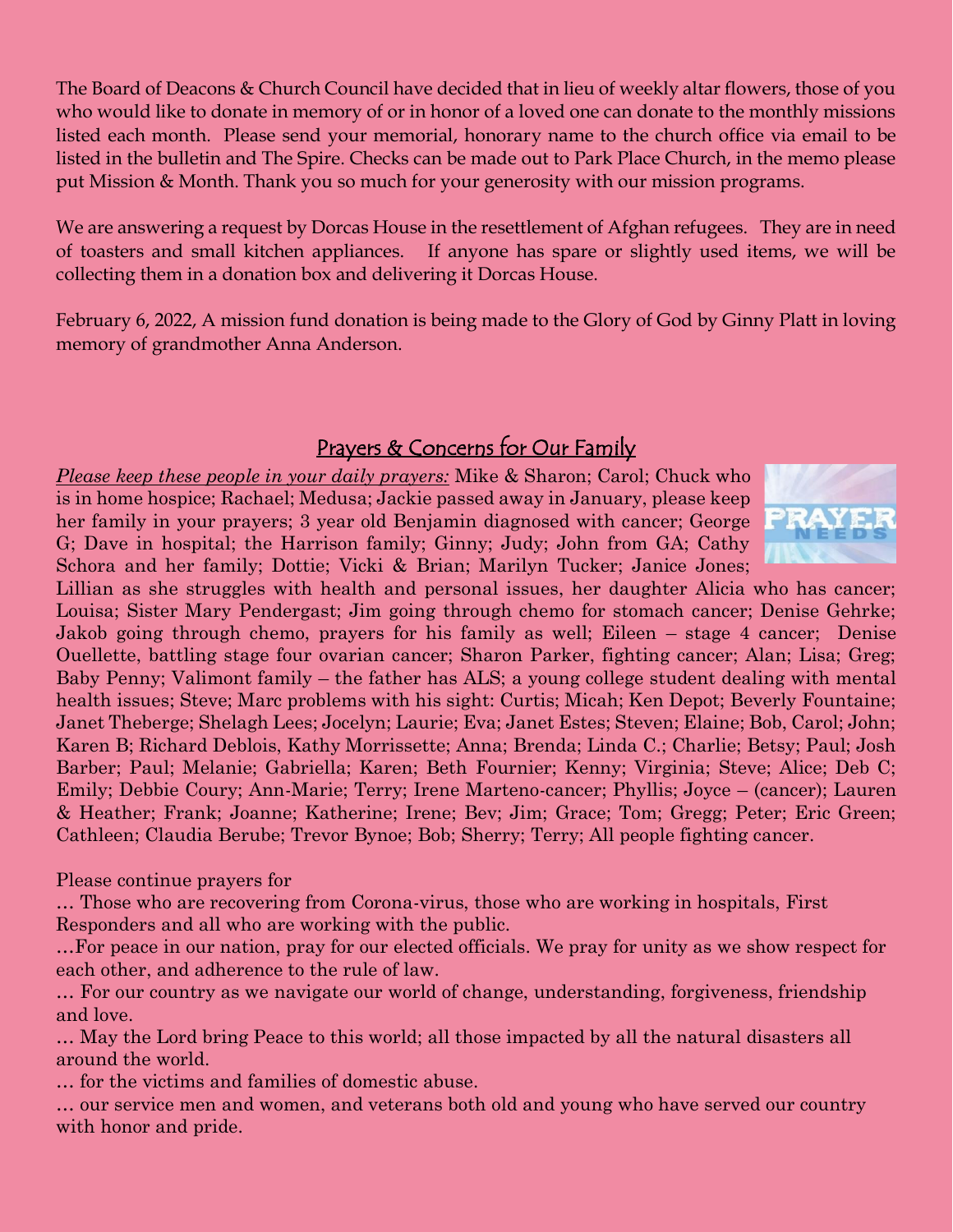The Board of Deacons & Church Council have decided that in lieu of weekly altar flowers, those of you who would like to donate in memory of or in honor of a loved one can donate to the monthly missions listed each month. Please send your memorial, honorary name to the church office via email to be listed in the bulletin and The Spire. Checks can be made out to Park Place Church, in the memo please put Mission & Month. Thank you so much for your generosity with our mission programs.

We are answering a request by Dorcas House in the resettlement of Afghan refugees. They are in need of toasters and small kitchen appliances. If anyone has spare or slightly used items, we will be collecting them in a donation box and delivering it Dorcas House.

February 6, 2022, A mission fund donation is being made to the Glory of God by Ginny Platt in loving memory of grandmother Anna Anderson.

### Prayers & Concerns for Our Family

*Please keep these people in your daily prayers:* Mike & Sharon; Carol; Chuck who is in home hospice; Rachael; Medusa; Jackie passed away in January, please keep her family in your prayers; 3 year old Benjamin diagnosed with cancer; George G; Dave in hospital; the Harrison family; Ginny; Judy; John from GA; Cathy Schora and her family; Dottie; Vicki & Brian; Marilyn Tucker; Janice Jones;



Lillian as she struggles with health and personal issues, her daughter Alicia who has cancer; Louisa; Sister Mary Pendergast; Jim going through chemo for stomach cancer; Denise Gehrke; Jakob going through chemo, prayers for his family as well; Eileen – stage 4 cancer; Denise Ouellette, battling stage four ovarian cancer; Sharon Parker, fighting cancer; Alan; Lisa; Greg; Baby Penny; Valimont family – the father has ALS; a young college student dealing with mental health issues; Steve; Marc problems with his sight: Curtis; Micah; Ken Depot; Beverly Fountaine; Janet Theberge; Shelagh Lees; Jocelyn; Laurie; Eva; Janet Estes; Steven; Elaine; Bob, Carol; John; Karen B; Richard Deblois, Kathy Morrissette; Anna; Brenda; Linda C.; Charlie; Betsy; Paul; Josh Barber; Paul; Melanie; Gabriella; Karen; Beth Fournier; Kenny; Virginia; Steve; Alice; Deb C; Emily; Debbie Coury; Ann-Marie; Terry; Irene Marteno-cancer; Phyllis; Joyce – (cancer); Lauren & Heather; Frank; Joanne; Katherine; Irene; Bev; Jim; Grace; Tom; Gregg; Peter; Eric Green; Cathleen; Claudia Berube; Trevor Bynoe; Bob; Sherry; Terry; All people fighting cancer.

Please continue prayers for

… Those who are recovering from Corona-virus, those who are working in hospitals, First Responders and all who are working with the public.

…For peace in our nation, pray for our elected officials. We pray for unity as we show respect for each other, and adherence to the rule of law.

… For our country as we navigate our world of change, understanding, forgiveness, friendship and love.

… May the Lord bring Peace to this world; all those impacted by all the natural disasters all around the world.

… for the victims and families of domestic abuse.

… our service men and women, and veterans both old and young who have served our country with honor and pride.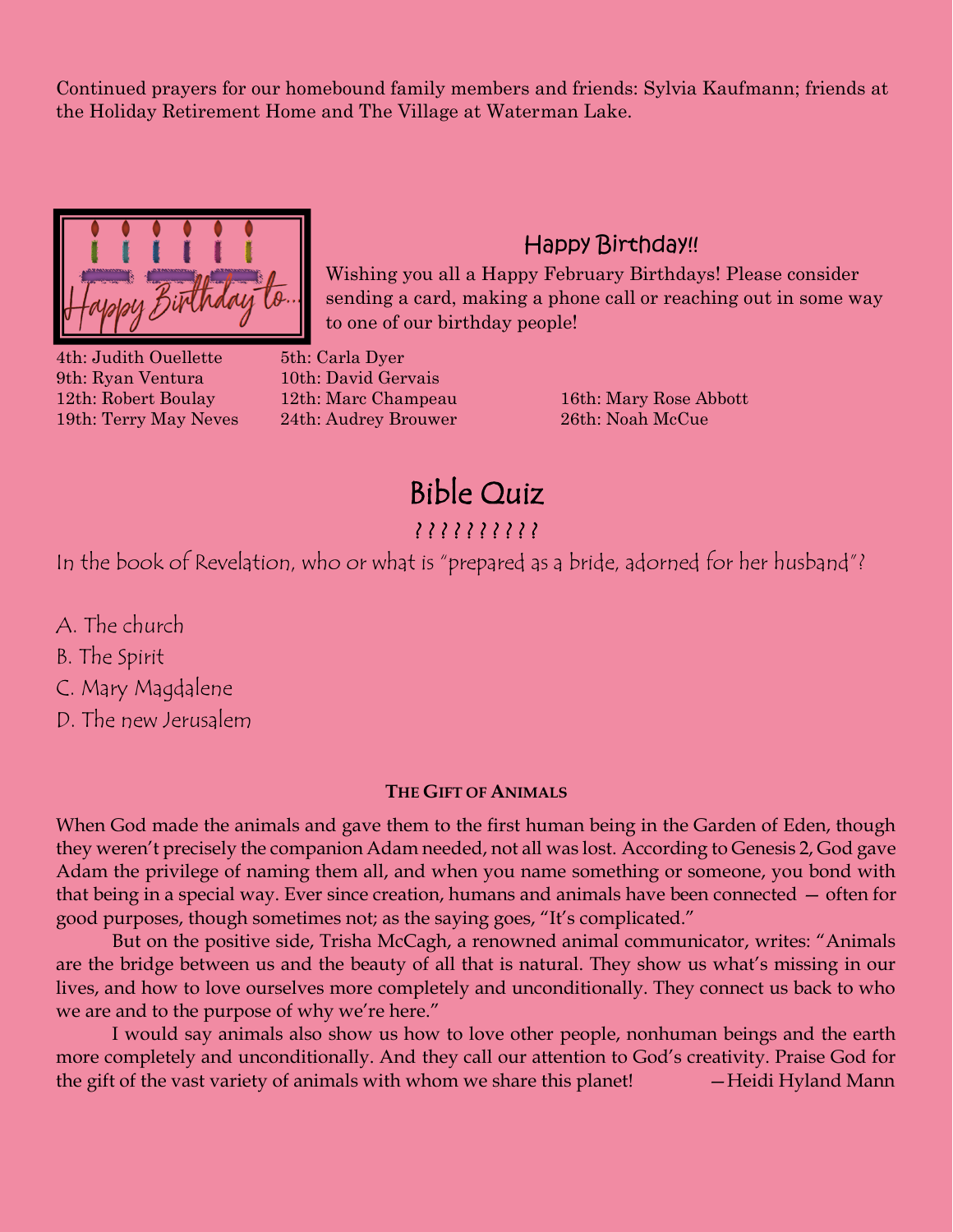Continued prayers for our homebound family members and friends: Sylvia Kaufmann; friends at the Holiday Retirement Home and The Village at Waterman Lake.



# 4th: Judith Ouellette 5th: Carla Dyer 9th: Ryan Ventura 10th: David Gervais

19th: Terry May Neves 24th: Audrey Brouwer 26th: Noah McCue

sending a card, making a phone call or reaching out in some way to one of our birthday people!

Happy Birthday!!

Wishing you all a Happy February Birthdays! Please consider

12th: Robert Boulay 12th: Marc Champeau 16th: Mary Rose Abbott

Bible Quiz ? ? ? ? ? ? ? ? ? ?

In the book of Revelation, who or what is "prepared as a bride, adorned for her husband"?

A. The church

B. The Spirit

C. Mary Magdalene

D. The new Jerusalem

#### **THE GIFT OF ANIMALS**

When God made the animals and gave them to the first human being in the Garden of Eden, though they weren't precisely the companion Adam needed, not all was lost. According to Genesis 2, God gave Adam the privilege of naming them all, and when you name something or someone, you bond with that being in a special way. Ever since creation, humans and animals have been connected — often for good purposes, though sometimes not; as the saying goes, "It's complicated."

But on the positive side, Trisha McCagh, a renowned animal communicator, writes: "Animals are the bridge between us and the beauty of all that is natural. They show us what's missing in our lives, and how to love ourselves more completely and unconditionally. They connect us back to who we are and to the purpose of why we're here."

I would say animals also show us how to love other people, nonhuman beings and the earth more completely and unconditionally. And they call our attention to God's creativity. Praise God for the gift of the vast variety of animals with whom we share this planet! — Heidi Hyland Mann